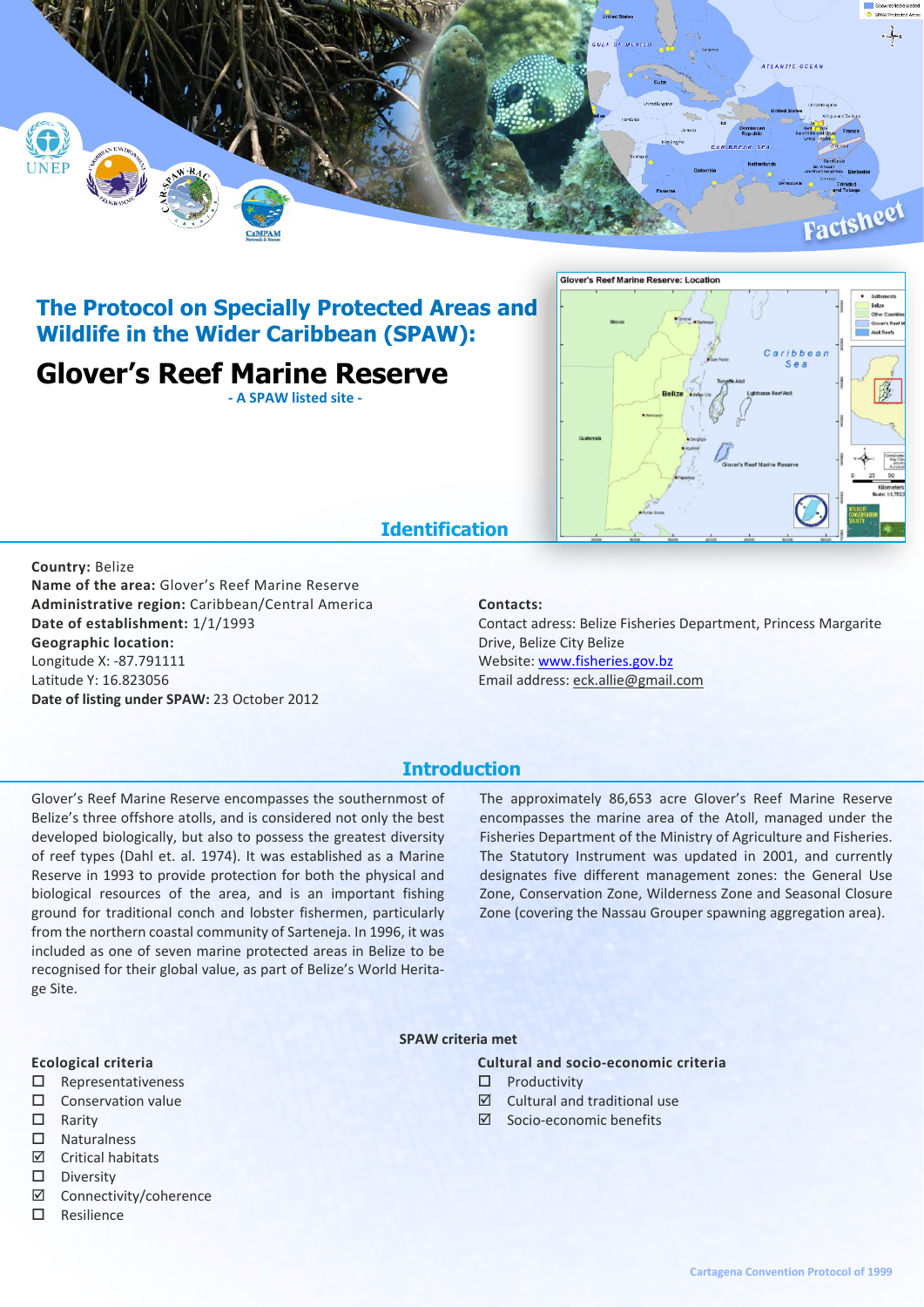

## **The Protocol on Specially Protected Areas and Wildlife in the Wider Caribbean (SPAW):**

# **Glover's Reef Marine Reserve**

**- A SPAW listed site -**



### **Identification**

#### **Country:** Belize

**Name of the area:** Glover's Reef Marine Reserve **Administrative region:** Caribbean/Central America **Date of establishment:** 1/1/1993 **Geographic location:** Longitude X: -87.791111 Latitude Y: 16.823056 **Date of listing under SPAW:** 23 October 2012

#### **Contacts:**

Contact adress: Belize Fisheries Department, Princess Margarite Drive, Belize City Belize Website: <www.fisheries.gov.bz> Email address: eck.allie@gmail.com

### **Introduction**

Glover's Reef Marine Reserve encompasses the southernmost of Belize's three offshore atolls, and is considered not only the best developed biologically, but also to possess the greatest diversity of reef types (Dahl et. al. 1974). It was established as a Marine Reserve in 1993 to provide protection for both the physical and biological resources of the area, and is an important fishing ground for traditional conch and lobster fishermen, particularly from the northern coastal community of Sarteneja. In 1996, it was included as one of seven marine protected areas in Belize to be recognised for their global value, as part of Belize's World Heritage Site.

The approximately 86,653 acre Glover's Reef Marine Reserve encompasses the marine area of the Atoll, managed under the Fisheries Department of the Ministry of Agriculture and Fisheries. The Statutory Instrument was updated in 2001, and currently designates five different management zones: the General Use Zone, Conservation Zone, Wilderness Zone and Seasonal Closure Zone (covering the Nassau Grouper spawning aggregation area).

#### **SPAW criteria met**

### **Ecological criteria**

- $\square$  Representativeness
- $\square$  Conservation value
- $\square$  Rarity
- $\Pi$  Naturalness
- ˛ Critical habitats
- $\square$  Diversity
- ˛ Connectivity/coherence
- $\square$  Resilience

**Cultural and socio-economic criteria**

- ˛ Socio-economic benefits
-